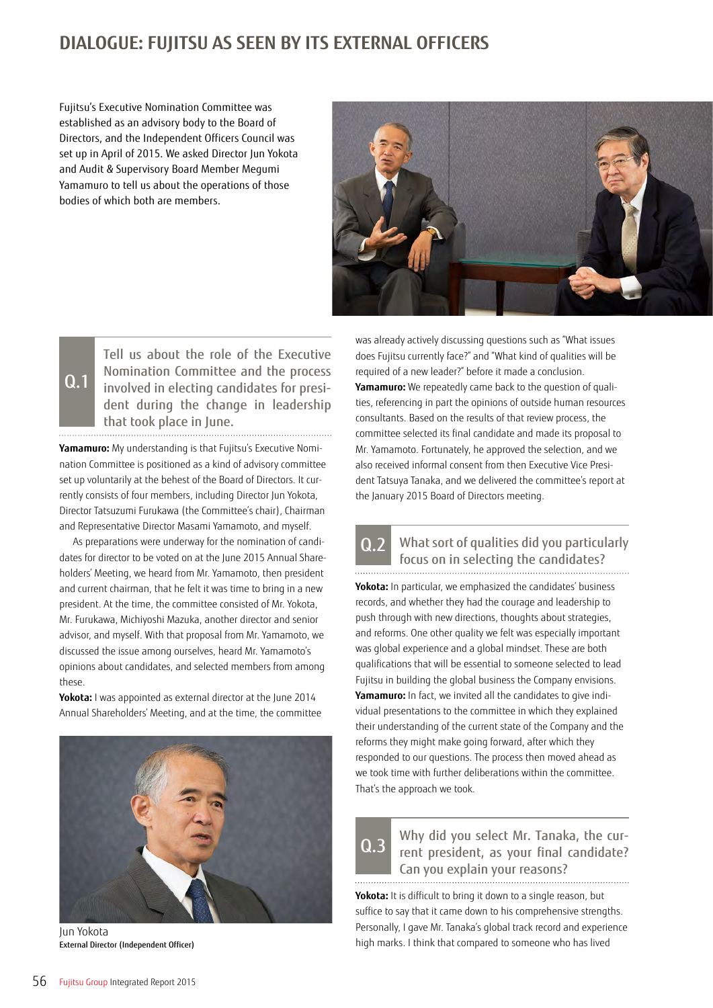### **DIALOGUE: FUJITSU AS SEEN BY ITS EXTERNAL OFFICERS**

Fujitsu's Executive Nomination Committee was established as an advisory body to the Board of Directors, and the Independent Officers Council was set up in April of 2015. We asked Director Jun Yokota and Audit & Supervisory Board Member Megumi Yamamuro to tell us about the operations of those bodies of which both are members.



Tell us about the role of the Executive Nomination Committee and the process involved in electing candidates for president during the change in leadership that took place in June. 

Q.1

**Yamamuro:** My understanding is that Fujitsu's Executive Nomination Committee is positioned as a kind of advisory committee set up voluntarily at the behest of the Board of Directors. It currently consists of four members, including Director Jun Yokota, Director Tatsuzumi Furukawa (the Committee's chair), Chairman and Representative Director Masami Yamamoto, and myself.

As preparations were underway for the nomination of candidates for director to be voted on at the June 2015 Annual Shareholders' Meeting, we heard from Mr. Yamamoto, then president and current chairman, that he felt it was time to bring in a new president. At the time, the committee consisted of Mr. Yokota, Mr. Furukawa, Michiyoshi Mazuka, another director and senior advisor, and myself. With that proposal from Mr. Yamamoto, we discussed the issue among ourselves, heard Mr. Yamamoto's opinions about candidates, and selected members from among these.

**Yokota:** I was appointed as external director at the June 2014 Annual Shareholders' Meeting, and at the time, the committee



Jun Yokota External Director (Independent Officer)

was already actively discussing questions such as "What issues does Fujitsu currently face?" and "What kind of qualities will be required of a new leader?" before it made a conclusion. **Yamamuro:** We repeatedly came back to the question of qualities, referencing in part the opinions of outside human resources consultants. Based on the results of that review process, the committee selected its final candidate and made its proposal to Mr. Yamamoto. Fortunately, he approved the selection, and we also received informal consent from then Executive Vice President Tatsuya Tanaka, and we delivered the committee's report at the January 2015 Board of Directors meeting.

### What sort of qualities did you particularly focus on in selecting the candidates? Q.2

**Yokota:** In particular, we emphasized the candidates' business records, and whether they had the courage and leadership to push through with new directions, thoughts about strategies, and reforms. One other quality we felt was especially important was global experience and a global mindset. These are both qualifications that will be essential to someone selected to lead Fujitsu in building the global business the Company envisions. **Yamamuro:** In fact, we invited all the candidates to give individual presentations to the committee in which they explained their understanding of the current state of the Company and the reforms they might make going forward, after which they responded to our questions. The process then moved ahead as we took time with further deliberations within the committee. That's the approach we took.

Why did you select Mr. Tanaka, the current president, as your final candidate? Can you explain your reasons? Q.3

**Yokota:** It is difficult to bring it down to a single reason, but suffice to say that it came down to his comprehensive strengths. Personally, I gave Mr. Tanaka's global track record and experience high marks. I think that compared to someone who has lived